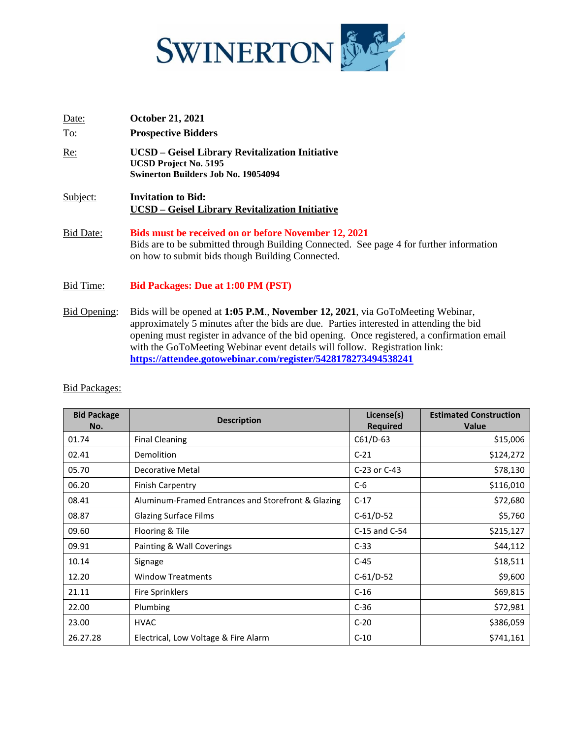

| Date:            | <b>October 21, 2021</b>                                                                                                                                                                             |
|------------------|-----------------------------------------------------------------------------------------------------------------------------------------------------------------------------------------------------|
| <u>To:</u>       | <b>Prospective Bidders</b>                                                                                                                                                                          |
| Re:              | UCSD - Geisel Library Revitalization Initiative<br><b>UCSD Project No. 5195</b><br><b>Swinerton Builders Job No. 19054094</b>                                                                       |
| Subject:         | <b>Invitation to Bid:</b><br>UCSD – Geisel Library Revitalization Initiative                                                                                                                        |
| <b>Bid Date:</b> | Bids must be received on or before November 12, 2021<br>Bids are to be submitted through Building Connected. See page 4 for further information<br>on how to submit bids though Building Connected. |
| Bid Time:        | <b>Bid Packages: Due at 1:00 PM (PST)</b>                                                                                                                                                           |

Bid Opening: Bids will be opened at **1:05 P.M**., **November 12, 2021**, via GoToMeeting Webinar, approximately 5 minutes after the bids are due. Parties interested in attending the bid opening must register in advance of the bid opening. Once registered, a confirmation email with the GoToMeeting Webinar event details will follow. Registration link: **<https://attendee.gotowebinar.com/register/5428178273494538241>**

| <b>Bid Package</b><br>No. | <b>Description</b>                                 | License(s)<br><b>Required</b> | <b>Estimated Construction</b><br><b>Value</b> |
|---------------------------|----------------------------------------------------|-------------------------------|-----------------------------------------------|
| 01.74                     | <b>Final Cleaning</b>                              | C61/D-63                      | \$15,006                                      |
| 02.41                     | Demolition                                         | $C-21$                        | \$124,272                                     |
| 05.70                     | Decorative Metal                                   | C-23 or C-43                  | \$78,130                                      |
| 06.20                     | <b>Finish Carpentry</b>                            | $C-6$                         | \$116,010                                     |
| 08.41                     | Aluminum-Framed Entrances and Storefront & Glazing | $C-17$                        | \$72,680                                      |
| 08.87                     | <b>Glazing Surface Films</b>                       | $C-61/D-52$                   | \$5,760                                       |
| 09.60                     | Flooring & Tile                                    | C-15 and C-54                 | \$215,127                                     |
| 09.91                     | Painting & Wall Coverings                          | $C-33$                        | \$44,112                                      |
| 10.14                     | Signage                                            | $C-45$                        | \$18,511                                      |
| 12.20                     | <b>Window Treatments</b>                           | $C-61/D-52$                   | \$9,600                                       |
| 21.11                     | <b>Fire Sprinklers</b>                             | $C-16$                        | \$69,815                                      |
| 22.00                     | Plumbing                                           | $C-36$                        | \$72,981                                      |
| 23.00                     | <b>HVAC</b>                                        | $C-20$                        | \$386,059                                     |
| 26.27.28                  | Electrical, Low Voltage & Fire Alarm               | $C-10$                        | \$741,161                                     |

### Bid Packages: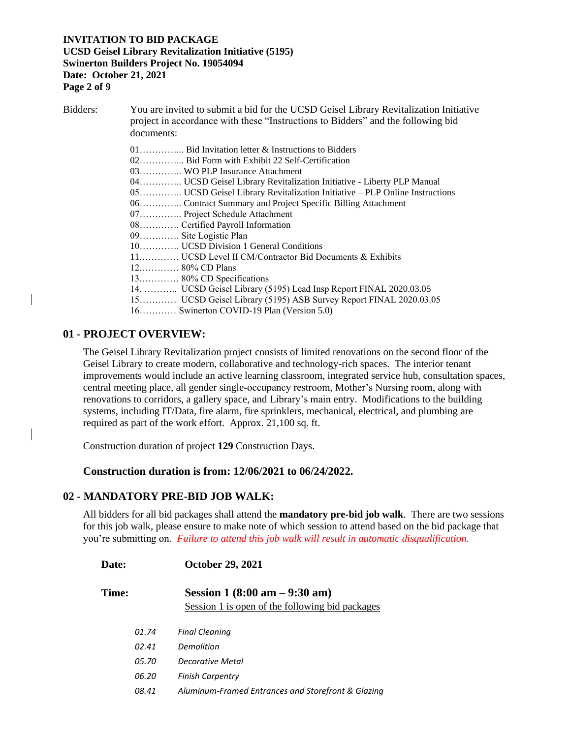#### **INVITATION TO BID PACKAGE UCSD Geisel Library Revitalization Initiative (5195) Swinerton Builders Project No. 19054094 Date: October 21, 2021 Page 2 of 9**

Bidders: You are invited to submit a bid for the UCSD Geisel Library Revitalization Initiative project in accordance with these "Instructions to Bidders" and the following bid documents: 01…………... Bid Invitation letter & Instructions to Bidders 02…………... Bid Form with Exhibit 22 Self-Certification 03………….. WO PLP Insurance Attachment 04………….. UCSD Geisel Library Revitalization Initiative - Liberty PLP Manual 05………….. UCSD Geisel Library Revitalization Initiative – PLP Online Instructions 06………….. Contract Summary and Project Specific Billing Attachment 07………….. Project Schedule Attachment 08…………. Certified Payroll Information 09…………. Site Logistic Plan 10…………. UCSD Division 1 General Conditions 11.………… UCSD Level II CM/Contractor Bid Documents & Exhibits 12.………… 80% CD Plans 13.………… 80% CD Specifications 14. ……….. UCSD Geisel Library (5195) Lead Insp Report FINAL 2020.03.05 15………… UCSD Geisel Library (5195) ASB Survey Report FINAL 2020.03.05 16………… Swinerton COVID-19 Plan (Version 5.0)

## **01 - PROJECT OVERVIEW:**

The Geisel Library Revitalization project consists of limited renovations on the second floor of the Geisel Library to create modern, collaborative and technology-rich spaces. The interior tenant improvements would include an active learning classroom, integrated service hub, consultation spaces, central meeting place, all gender single-occupancy restroom, Mother's Nursing room, along with renovations to corridors, a gallery space, and Library's main entry. Modifications to the building systems, including IT/Data, fire alarm, fire sprinklers, mechanical, electrical, and plumbing are required as part of the work effort. Approx. 21,100 sq. ft.

Construction duration of project **129** Construction Days.

### **Construction duration is from: 12/06/2021 to 06/24/2022.**

#### **02 - MANDATORY PRE-BID JOB WALK:**

All bidders for all bid packages shall attend the **mandatory pre-bid job walk**. There are two sessions for this job walk, please ensure to make note of which session to attend based on the bid package that you're submitting on. *Failure to attend this job walk will result in automatic disqualification.*

| Date: |       | <b>October 29, 2021</b>                            |
|-------|-------|----------------------------------------------------|
| Time: |       | Session 1 $(8:00 \text{ am} - 9:30 \text{ am})$    |
|       |       | Session 1 is open of the following bid packages    |
|       | 01.74 | <b>Final Cleaning</b>                              |
|       | 02.41 | Demolition                                         |
|       | 05.70 | Decorative Metal                                   |
|       | 06.20 | <b>Finish Carpentry</b>                            |
|       | 08.41 | Aluminum-Framed Entrances and Storefront & Glazing |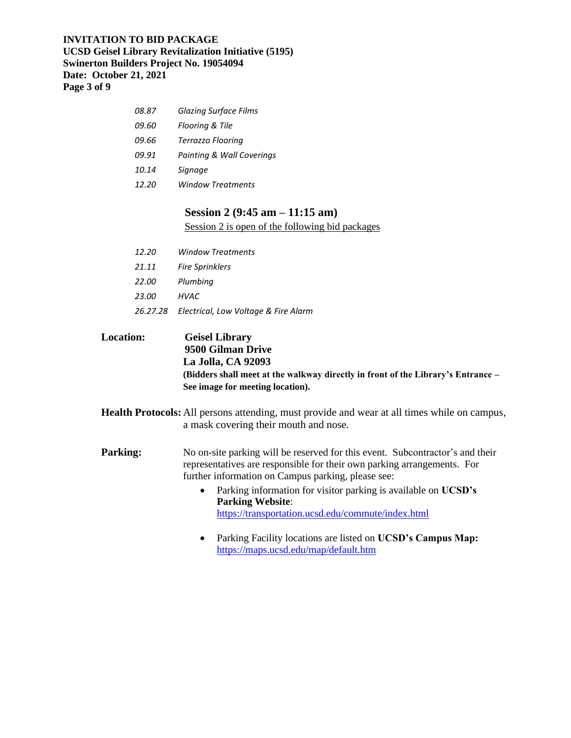#### **INVITATION TO BID PACKAGE UCSD Geisel Library Revitalization Initiative (5195) Swinerton Builders Project No. 19054094 Date: October 21, 2021 Page 3 of 9**

| 08.87 | <b>Glazing Surface Films</b> |
|-------|------------------------------|
| 09.60 | Flooring & Tile              |
| 09.66 | Terrazzo Flooring            |
| 09.91 | Painting & Wall Coverings    |
| 10.14 | Signage                      |
| 12.20 | Window Treatments            |
|       |                              |

### **Session 2 (9:45 am – 11:15 am)**

Session 2 is open of the following bid packages

| 12.20 | <b>Window Treatments</b>                      |
|-------|-----------------------------------------------|
| 21.11 | <b>Fire Sprinklers</b>                        |
| 22.00 | Plumbing                                      |
| 23.00 | HVAC                                          |
|       | 26.27.28 Electrical, Low Voltage & Fire Alarm |
|       |                                               |

**Location: Geisel Library 9500 Gilman Drive La Jolla, CA 92093 (Bidders shall meet at the walkway directly in front of the Library's Entrance – See image for meeting location).**

**Health Protocols:** All persons attending, must provide and wear at all times while on campus, a mask covering their mouth and nose.

**Parking:** No on-site parking will be reserved for this event. Subcontractor's and their representatives are responsible for their own parking arrangements. For further information on Campus parking, please see:

- Parking information for visitor parking is available on **UCSD's Parking Website**: <https://transportation.ucsd.edu/commute/index.html>
- Parking Facility locations are listed on **UCSD's Campus Map:** <https://maps.ucsd.edu/map/default.htm>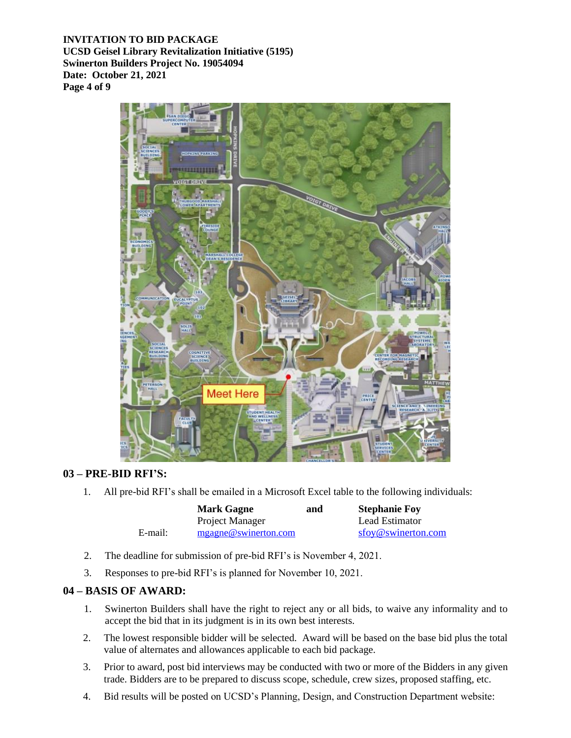**INVITATION TO BID PACKAGE UCSD Geisel Library Revitalization Initiative (5195) Swinerton Builders Project No. 19054094 Date: October 21, 2021 Page 4 of 9**



## **03 – PRE-BID RFI'S:**

1. All pre-bid RFI's shall be emailed in a Microsoft Excel table to the following individuals:

|         | <b>Mark Gagne</b>    | and | <b>Stephanie Foy</b> |
|---------|----------------------|-----|----------------------|
|         | Project Manager      |     | Lead Estimator       |
| E-mail: | mgagne@swinerton.com |     | sfoy@swinerton.com   |

- 2. The deadline for submission of pre-bid RFI's is November 4, 2021.
- 3. Responses to pre-bid RFI's is planned for November 10, 2021.

### **04 – BASIS OF AWARD:**

- 1. Swinerton Builders shall have the right to reject any or all bids, to waive any informality and to accept the bid that in its judgment is in its own best interests.
- 2. The lowest responsible bidder will be selected. Award will be based on the base bid plus the total value of alternates and allowances applicable to each bid package.
- 3. Prior to award, post bid interviews may be conducted with two or more of the Bidders in any given trade. Bidders are to be prepared to discuss scope, schedule, crew sizes, proposed staffing, etc.
- 4. Bid results will be posted on UCSD's Planning, Design, and Construction Department website: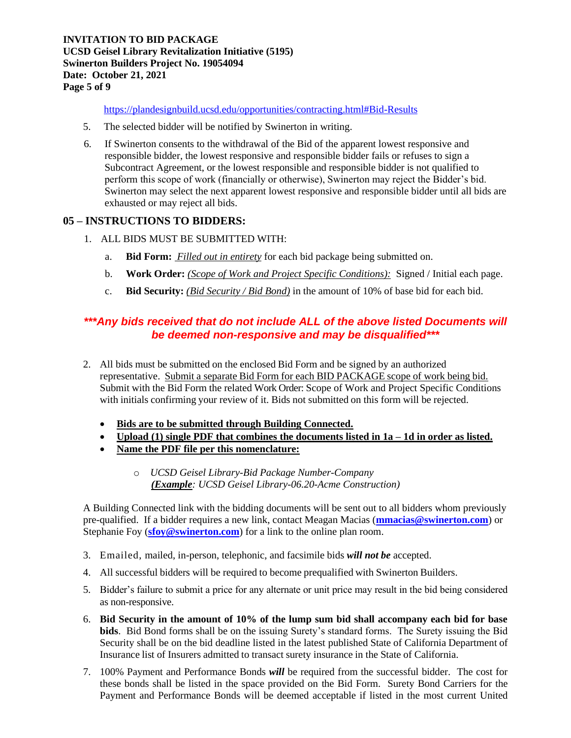**INVITATION TO BID PACKAGE UCSD Geisel Library Revitalization Initiative (5195) Swinerton Builders Project No. 19054094 Date: October 21, 2021 Page 5 of 9**

<https://plandesignbuild.ucsd.edu/opportunities/contracting.html#Bid-Results>

- 5. The selected bidder will be notified by Swinerton in writing.
- 6. If Swinerton consents to the withdrawal of the Bid of the apparent lowest responsive and responsible bidder, the lowest responsive and responsible bidder fails or refuses to sign a Subcontract Agreement, or the lowest responsible and responsible bidder is not qualified to perform this scope of work (financially or otherwise), Swinerton may reject the Bidder's bid. Swinerton may select the next apparent lowest responsive and responsible bidder until all bids are exhausted or may reject all bids.

## **05 – INSTRUCTIONS TO BIDDERS:**

- 1. ALL BIDS MUST BE SUBMITTED WITH:
	- a. **Bid Form:** *Filled out in entirety* for each bid package being submitted on.
	- b. **Work Order:** *(Scope of Work and Project Specific Conditions):* Signed / Initial each page.
	- c. **Bid Security:** *(Bid Security / Bid Bond)* in the amount of 10% of base bid for each bid.

## *\*\*\*Any bids received that do not include ALL of the above listed Documents will be deemed non-responsive and may be disqualified\*\*\**

- 2. All bids must be submitted on the enclosed Bid Form and be signed by an authorized representative. Submit a separate Bid Form for each BID PACKAGE scope of work being bid. Submit with the Bid Form the related Work Order: Scope of Work and Project Specific Conditions with initials confirming your review of it. Bids not submitted on this form will be rejected.
	- **Bids are to be submitted through Building Connected.**
	- **Upload (1) single PDF that combines the documents listed in 1a – 1d in order as listed.**
	- **Name the PDF file per this nomenclature:**
		- o *UCSD Geisel Library-Bid Package Number-Company (Example: UCSD Geisel Library-06.20-Acme Construction)*

A Building Connected link with the bidding documents will be sent out to all bidders whom previously pre-qualified. If a bidder requires a new link, contact Meagan Macias (**[mmacias@swinerton.com](mailto:mmacias@swinerton.com)**) or Stephanie Foy (stoy@swinerton.com) for a link to the online plan room.

- 3. Emailed, mailed, in-person, telephonic, and facsimile bids *will not be* accepted.
- 4. All successful bidders will be required to become prequalified with Swinerton Builders.
- 5. Bidder's failure to submit a price for any alternate or unit price may result in the bid being considered as non-responsive.
- 6. **Bid Security in the amount of 10% of the lump sum bid shall accompany each bid for base bids**. Bid Bond forms shall be on the issuing Surety's standard forms. The Surety issuing the Bid Security shall be on the bid deadline listed in the latest published State of California Department of Insurance list of Insurers admitted to transact surety insurance in the State of California.
- 7. 100% Payment and Performance Bonds *will* be required from the successful bidder. The cost for these bonds shall be listed in the space provided on the Bid Form. Surety Bond Carriers for the Payment and Performance Bonds will be deemed acceptable if listed in the most current United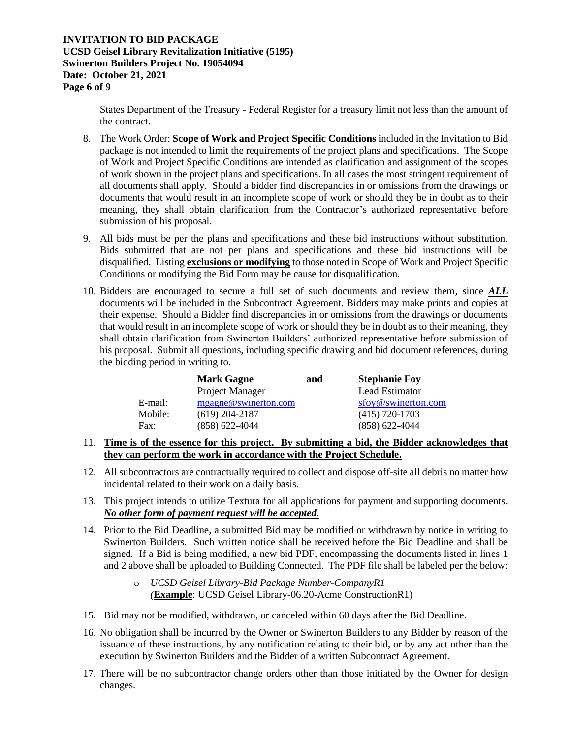States Department of the Treasury - Federal Register for a treasury limit not less than the amount of the contract.

- 8. The Work Order: **Scope of Work and Project Specific Conditions** included in the Invitation to Bid package is not intended to limit the requirements of the project plans and specifications. The Scope of Work and Project Specific Conditions are intended as clarification and assignment of the scopes of work shown in the project plans and specifications. In all cases the most stringent requirement of all documents shall apply. Should a bidder find discrepancies in or omissions from the drawings or documents that would result in an incomplete scope of work or should they be in doubt as to their meaning, they shall obtain clarification from the Contractor's authorized representative before submission of his proposal.
- 9. All bids must be per the plans and specifications and these bid instructions without substitution. Bids submitted that are not per plans and specifications and these bid instructions will be disqualified. Listing **exclusions or modifying** to those noted in Scope of Work and Project Specific Conditions or modifying the Bid Form may be cause for disqualification.
- 10. Bidders are encouraged to secure a full set of such documents and review them, since *ALL* documents will be included in the Subcontract Agreement. Bidders may make prints and copies at their expense. Should a Bidder find discrepancies in or omissions from the drawings or documents that would result in an incomplete scope of work or should they be in doubt as to their meaning, they shall obtain clarification from Swinerton Builders' authorized representative before submission of his proposal. Submit all questions, including specific drawing and bid document references, during the bidding period in writing to.

|         | <b>Mark Gagne</b>    | and | <b>Stephanie Foy</b> |
|---------|----------------------|-----|----------------------|
|         | Project Manager      |     | Lead Estimator       |
| E-mail: | mgagne@swinerton.com |     | sfoy@swinerton.com   |
| Mobile: | $(619)$ 204-2187     |     | $(415)$ 720-1703     |
| Fax:    | $(858) 622 - 4044$   |     | $(858) 622 - 4044$   |

- 11. **Time is of the essence for this project. By submitting a bid, the Bidder acknowledges that they can perform the work in accordance with the Project Schedule.**
- 12. All subcontractors are contractually required to collect and dispose off-site all debris no matter how incidental related to their work on a daily basis.
- 13. This project intends to utilize Textura for all applications for payment and supporting documents. *No other form of payment request will be accepted.*
- 14. Prior to the Bid Deadline, a submitted Bid may be modified or withdrawn by notice in writing to Swinerton Builders. Such written notice shall be received before the Bid Deadline and shall be signed. If a Bid is being modified, a new bid PDF, encompassing the documents listed in lines 1 and 2 above shall be uploaded to Building Connected. The PDF file shall be labeled per the below:
	- o *UCSD Geisel Library-Bid Package Number-CompanyR1 (***Example**: UCSD Geisel Library-06.20-Acme ConstructionR1)
- 15. Bid may not be modified, withdrawn, or canceled within 60 days after the Bid Deadline.
- 16. No obligation shall be incurred by the Owner or Swinerton Builders to any Bidder by reason of the issuance of these instructions, by any notification relating to their bid, or by any act other than the execution by Swinerton Builders and the Bidder of a written Subcontract Agreement.
- 17. There will be no subcontractor change orders other than those initiated by the Owner for design changes.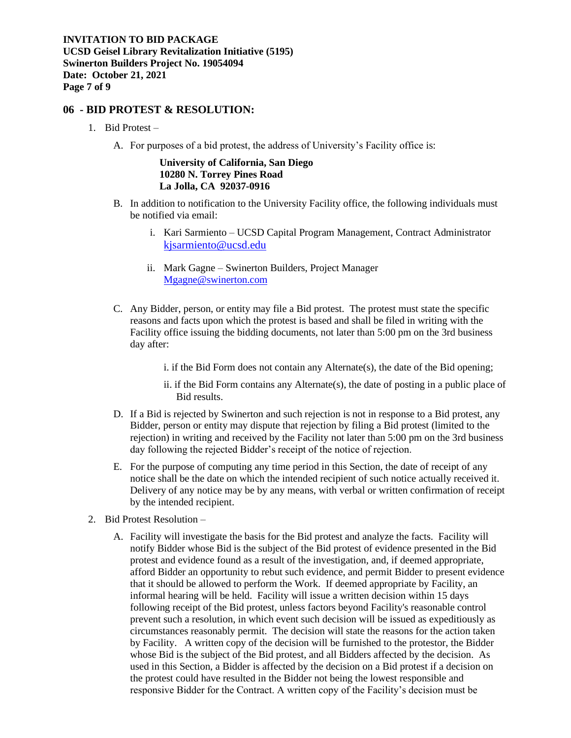### **06 - BID PROTEST & RESOLUTION:**

- 1. Bid Protest
	- A. For purposes of a bid protest, the address of University's Facility office is:

#### **University of California, San Diego 10280 N. Torrey Pines Road La Jolla, CA 92037-0916**

- B. In addition to notification to the University Facility office, the following individuals must be notified via email:
	- i. Kari Sarmiento UCSD Capital Program Management, Contract Administrator [kjsarmiento@ucsd.edu](mailto:kjsarmiento@ucsd.edu)
	- ii. Mark Gagne Swinerton Builders, Project Manager [Mgagne@swinerton.com](mailto:Mgagne@swinerton.com)
- C. Any Bidder, person, or entity may file a Bid protest. The protest must state the specific reasons and facts upon which the protest is based and shall be filed in writing with the Facility office issuing the bidding documents, not later than 5:00 pm on the 3rd business day after:
	- i. if the Bid Form does not contain any Alternate(s), the date of the Bid opening;
	- ii. if the Bid Form contains any Alternate(s), the date of posting in a public place of Bid results.
- D. If a Bid is rejected by Swinerton and such rejection is not in response to a Bid protest, any Bidder, person or entity may dispute that rejection by filing a Bid protest (limited to the rejection) in writing and received by the Facility not later than 5:00 pm on the 3rd business day following the rejected Bidder's receipt of the notice of rejection.
- E. For the purpose of computing any time period in this Section, the date of receipt of any notice shall be the date on which the intended recipient of such notice actually received it. Delivery of any notice may be by any means, with verbal or written confirmation of receipt by the intended recipient.
- 2. Bid Protest Resolution
	- A. Facility will investigate the basis for the Bid protest and analyze the facts. Facility will notify Bidder whose Bid is the subject of the Bid protest of evidence presented in the Bid protest and evidence found as a result of the investigation, and, if deemed appropriate, afford Bidder an opportunity to rebut such evidence, and permit Bidder to present evidence that it should be allowed to perform the Work. If deemed appropriate by Facility, an informal hearing will be held. Facility will issue a written decision within 15 days following receipt of the Bid protest, unless factors beyond Facility's reasonable control prevent such a resolution, in which event such decision will be issued as expeditiously as circumstances reasonably permit. The decision will state the reasons for the action taken by Facility. A written copy of the decision will be furnished to the protestor, the Bidder whose Bid is the subject of the Bid protest, and all Bidders affected by the decision. As used in this Section, a Bidder is affected by the decision on a Bid protest if a decision on the protest could have resulted in the Bidder not being the lowest responsible and responsive Bidder for the Contract. A written copy of the Facility's decision must be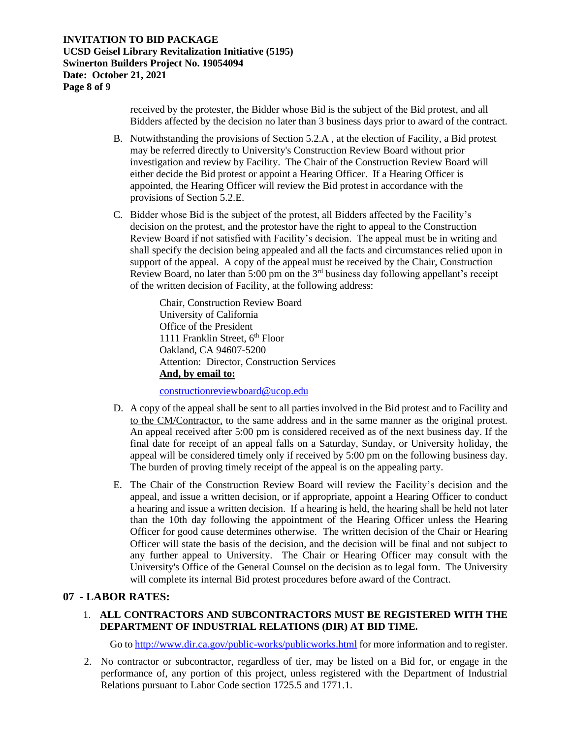received by the protester, the Bidder whose Bid is the subject of the Bid protest, and all Bidders affected by the decision no later than 3 business days prior to award of the contract.

- B. Notwithstanding the provisions of Section 5.2.A , at the election of Facility, a Bid protest may be referred directly to University's Construction Review Board without prior investigation and review by Facility. The Chair of the Construction Review Board will either decide the Bid protest or appoint a Hearing Officer. If a Hearing Officer is appointed, the Hearing Officer will review the Bid protest in accordance with the provisions of Section 5.2.E.
- C. Bidder whose Bid is the subject of the protest, all Bidders affected by the Facility's decision on the protest, and the protestor have the right to appeal to the Construction Review Board if not satisfied with Facility's decision. The appeal must be in writing and shall specify the decision being appealed and all the facts and circumstances relied upon in support of the appeal. A copy of the appeal must be received by the Chair, Construction Review Board, no later than 5:00 pm on the  $3<sup>rd</sup>$  business day following appellant's receipt of the written decision of Facility, at the following address:

Chair, Construction Review Board University of California Office of the President 1111 Franklin Street,  $6<sup>th</sup>$  Floor Oakland, CA 94607-5200 Attention: Director, Construction Services **And, by email to:**

[constructionreviewboard@ucop.edu](mailto:constructionreviewboard@ucop.edu)

- D. A copy of the appeal shall be sent to all parties involved in the Bid protest and to Facility and to the CM/Contractor, to the same address and in the same manner as the original protest. An appeal received after 5:00 pm is considered received as of the next business day. If the final date for receipt of an appeal falls on a Saturday, Sunday, or University holiday, the appeal will be considered timely only if received by 5:00 pm on the following business day. The burden of proving timely receipt of the appeal is on the appealing party.
- E. The Chair of the Construction Review Board will review the Facility's decision and the appeal, and issue a written decision, or if appropriate, appoint a Hearing Officer to conduct a hearing and issue a written decision. If a hearing is held, the hearing shall be held not later than the 10th day following the appointment of the Hearing Officer unless the Hearing Officer for good cause determines otherwise. The written decision of the Chair or Hearing Officer will state the basis of the decision, and the decision will be final and not subject to any further appeal to University. The Chair or Hearing Officer may consult with the University's Office of the General Counsel on the decision as to legal form. The University will complete its internal Bid protest procedures before award of the Contract.

### **07 - LABOR RATES:**

### 1. **ALL CONTRACTORS AND SUBCONTRACTORS MUST BE REGISTERED WITH THE DEPARTMENT OF INDUSTRIAL RELATIONS (DIR) AT BID TIME.**

Go t[o http://www.dir.ca.gov/public-works/publicworks.html](http://www.dir.ca.gov/public-works/publicworks.html) for more information and to register.

2. No contractor or subcontractor, regardless of tier, may be listed on a Bid for, or engage in the performance of, any portion of this project, unless registered with the Department of Industrial Relations pursuant to Labor Code section 1725.5 and 1771.1.